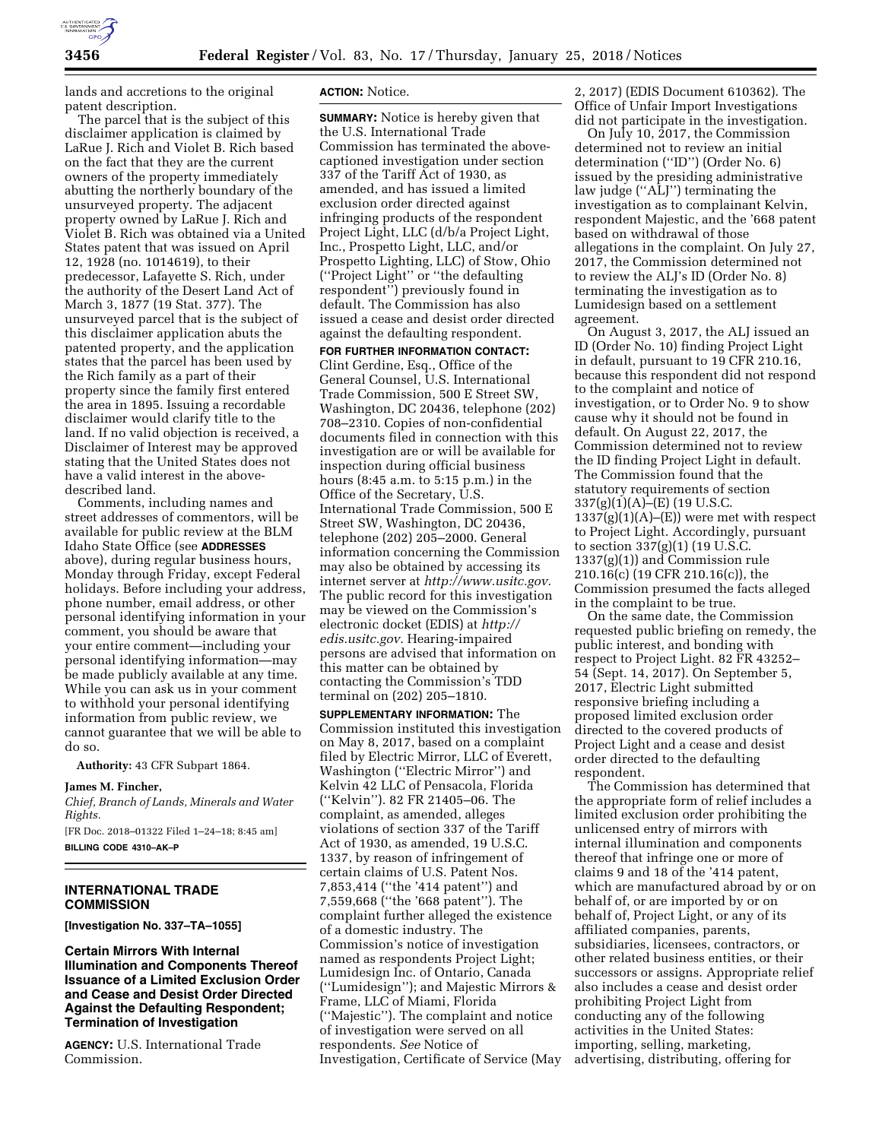

lands and accretions to the original patent description.

The parcel that is the subject of this disclaimer application is claimed by LaRue J. Rich and Violet B. Rich based on the fact that they are the current owners of the property immediately abutting the northerly boundary of the unsurveyed property. The adjacent property owned by LaRue J. Rich and Violet B. Rich was obtained via a United States patent that was issued on April 12, 1928 (no. 1014619), to their predecessor, Lafayette S. Rich, under the authority of the Desert Land Act of March 3, 1877 (19 Stat. 377). The unsurveyed parcel that is the subject of this disclaimer application abuts the patented property, and the application states that the parcel has been used by the Rich family as a part of their property since the family first entered the area in 1895. Issuing a recordable disclaimer would clarify title to the land. If no valid objection is received, a Disclaimer of Interest may be approved stating that the United States does not have a valid interest in the abovedescribed land.

Comments, including names and street addresses of commentors, will be available for public review at the BLM Idaho State Office (see **ADDRESSES** above), during regular business hours, Monday through Friday, except Federal holidays. Before including your address, phone number, email address, or other personal identifying information in your comment, you should be aware that your entire comment—including your personal identifying information—may be made publicly available at any time. While you can ask us in your comment to withhold your personal identifying information from public review, we cannot guarantee that we will be able to do so.

**Authority:** 43 CFR Subpart 1864.

### **James M. Fincher,**

*Chief, Branch of Lands, Minerals and Water Rights.* 

[FR Doc. 2018–01322 Filed 1–24–18; 8:45 am] **BILLING CODE 4310–AK–P** 

# **INTERNATIONAL TRADE COMMISSION**

**[Investigation No. 337–TA–1055]** 

**Certain Mirrors With Internal Illumination and Components Thereof Issuance of a Limited Exclusion Order and Cease and Desist Order Directed Against the Defaulting Respondent; Termination of Investigation** 

**AGENCY:** U.S. International Trade Commission.

### **ACTION:** Notice.

**SUMMARY:** Notice is hereby given that the U.S. International Trade Commission has terminated the abovecaptioned investigation under section 337 of the Tariff Act of 1930, as amended, and has issued a limited exclusion order directed against infringing products of the respondent Project Light, LLC (d/b/a Project Light, Inc., Prospetto Light, LLC, and/or Prospetto Lighting, LLC) of Stow, Ohio (''Project Light'' or ''the defaulting respondent'') previously found in default. The Commission has also issued a cease and desist order directed against the defaulting respondent.

**FOR FURTHER INFORMATION CONTACT:**  Clint Gerdine, Esq., Office of the General Counsel, U.S. International Trade Commission, 500 E Street SW, Washington, DC 20436, telephone (202) 708–2310. Copies of non-confidential documents filed in connection with this investigation are or will be available for inspection during official business hours (8:45 a.m. to 5:15 p.m.) in the Office of the Secretary,  $\tilde{U}$ .S. International Trade Commission, 500 E Street SW, Washington, DC 20436, telephone (202) 205–2000. General information concerning the Commission may also be obtained by accessing its internet server at *[http://www.usitc.gov.](http://www.usitc.gov)*  The public record for this investigation may be viewed on the Commission's electronic docket (EDIS) at *[http://](http://edis.usitc.gov) [edis.usitc.gov.](http://edis.usitc.gov)* Hearing-impaired persons are advised that information on this matter can be obtained by contacting the Commission's TDD terminal on (202) 205–1810.

**SUPPLEMENTARY INFORMATION:** The Commission instituted this investigation on May 8, 2017, based on a complaint filed by Electric Mirror, LLC of Everett, Washington (''Electric Mirror'') and Kelvin 42 LLC of Pensacola, Florida (''Kelvin''). 82 FR 21405–06. The complaint, as amended, alleges violations of section 337 of the Tariff Act of 1930, as amended, 19 U.S.C. 1337, by reason of infringement of certain claims of U.S. Patent Nos. 7,853,414 (''the '414 patent'') and 7,559,668 (''the '668 patent''). The complaint further alleged the existence of a domestic industry. The Commission's notice of investigation named as respondents Project Light; Lumidesign Inc. of Ontario, Canada (''Lumidesign''); and Majestic Mirrors & Frame, LLC of Miami, Florida (''Majestic''). The complaint and notice of investigation were served on all respondents. *See* Notice of Investigation, Certificate of Service (May

2, 2017) (EDIS Document 610362). The Office of Unfair Import Investigations did not participate in the investigation.

On July 10, 2017, the Commission determined not to review an initial determination (''ID'') (Order No. 6) issued by the presiding administrative law judge (''ALJ'') terminating the investigation as to complainant Kelvin, respondent Majestic, and the '668 patent based on withdrawal of those allegations in the complaint. On July 27, 2017, the Commission determined not to review the ALJ's ID (Order No. 8) terminating the investigation as to Lumidesign based on a settlement agreement.

On August 3, 2017, the ALJ issued an ID (Order No. 10) finding Project Light in default, pursuant to 19 CFR 210.16, because this respondent did not respond to the complaint and notice of investigation, or to Order No. 9 to show cause why it should not be found in default. On August 22, 2017, the Commission determined not to review the ID finding Project Light in default. The Commission found that the statutory requirements of section 337(g)(1)(A)–(E) (19 U.S.C.  $1337(g)(1)(A)$ –(E)) were met with respect to Project Light. Accordingly, pursuant to section 337(g)(1) (19 U.S.C. 1337(g)(1)) and Commission rule 210.16(c) (19 CFR 210.16(c)), the Commission presumed the facts alleged in the complaint to be true.

On the same date, the Commission requested public briefing on remedy, the public interest, and bonding with respect to Project Light. 82 FR 43252– 54 (Sept. 14, 2017). On September 5, 2017, Electric Light submitted responsive briefing including a proposed limited exclusion order directed to the covered products of Project Light and a cease and desist order directed to the defaulting respondent.

The Commission has determined that the appropriate form of relief includes a limited exclusion order prohibiting the unlicensed entry of mirrors with internal illumination and components thereof that infringe one or more of claims 9 and 18 of the '414 patent, which are manufactured abroad by or on behalf of, or are imported by or on behalf of, Project Light, or any of its affiliated companies, parents, subsidiaries, licensees, contractors, or other related business entities, or their successors or assigns. Appropriate relief also includes a cease and desist order prohibiting Project Light from conducting any of the following activities in the United States: importing, selling, marketing, advertising, distributing, offering for